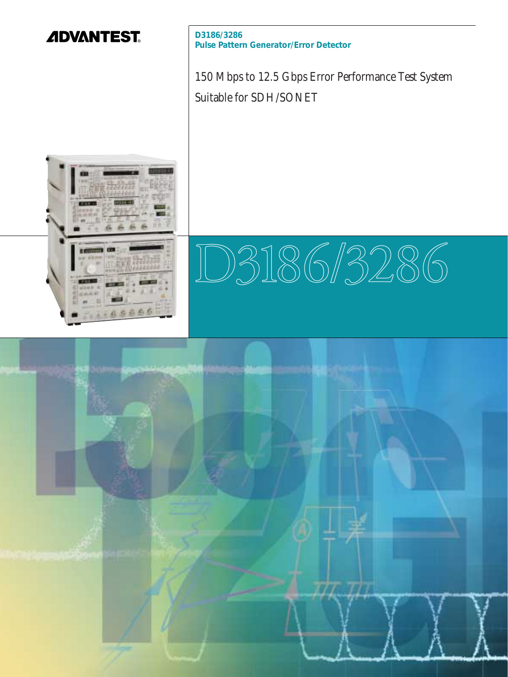

**D3186/3286 Pulse Pattern Generator/Error Detector**

150 Mbps to 12.5 Gbps Error Performance Test System Suitable for SDH/SONET



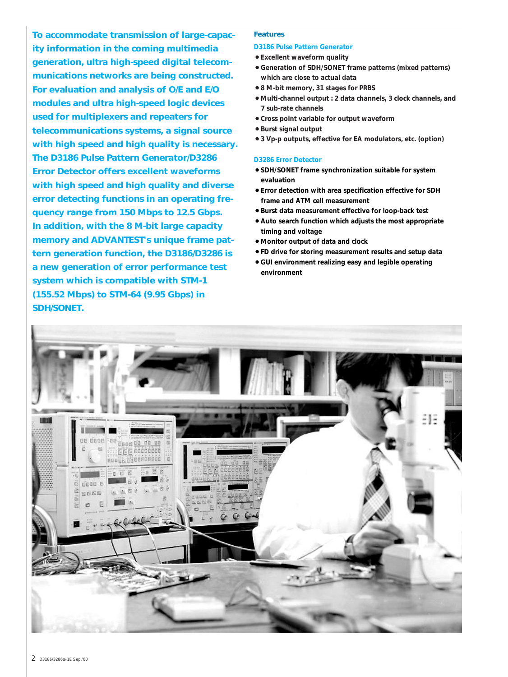**To accommodate transmission of large-capacity information in the coming multimedia generation, ultra high-speed digital telecommunications networks are being constructed. For evaluation and analysis of O/E and E/O modules and ultra high-speed logic devices used for multiplexers and repeaters for telecommunications systems, a signal source with high speed and high quality is necessary. The D3186 Pulse Pattern Generator/D3286 Error Detector offers excellent waveforms with high speed and high quality and diverse error detecting functions in an operating frequency range from 150 Mbps to 12.5 Gbps. In addition, with the 8 M-bit large capacity memory and ADVANTEST's unique frame pattern generation function, the D3186/D3286 is a new generation of error performance test system which is compatible with STM-1 (155.52 Mbps) to STM-64 (9.95 Gbps) in SDH/SONET.**

# **Features**

## **D3186 Pulse Pattern Generator**

- 7**Excellent waveform quality**
- 7**Generation of SDH/SONET frame patterns (mixed patterns) which are close to actual data**
- 7**8 M-bit memory, 31 stages for PRBS**
- 7**Multi-channel output : 2 data channels, 3 clock channels, and 7 sub-rate channels**
- 7**Cross point variable for output waveform**
- 7**Burst signal output**
- 7**3 Vp-p outputs, effective for EA modulators, etc. (option)**

#### **D3286 Error Detector**

- 7**SDH/SONET frame synchronization suitable for system evaluation**
- 7**Error detection with area specification effective for SDH frame and ATM cell measurement**
- 7**Burst data measurement effective for loop-back test**
- 7**Auto search function which adjusts the most appropriate timing and voltage**
- 7**Monitor output of data and clock**
- 7**FD drive for storing measurement results and setup data**
- 7**GUI environment realizing easy and legible operating environment**

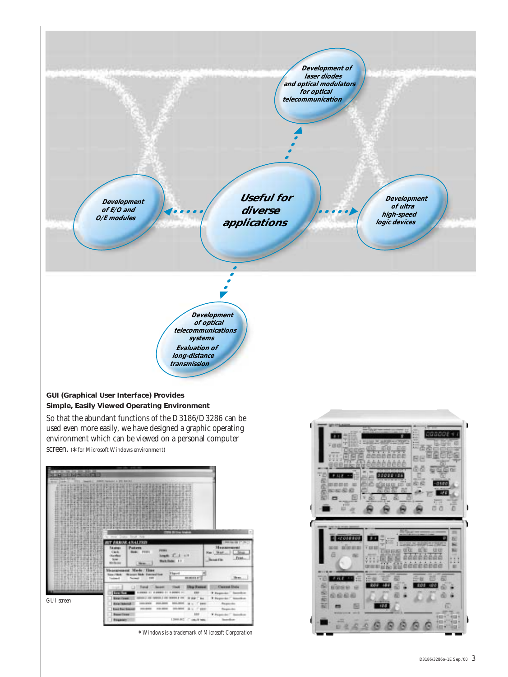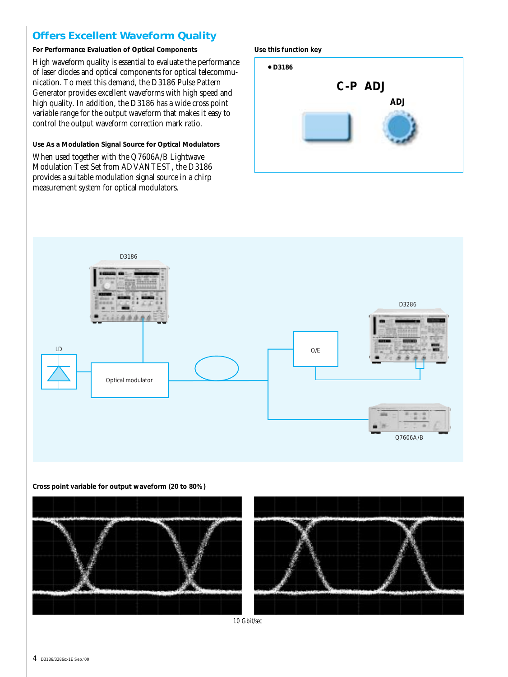# **Offers Excellent Waveform Quality**

# **For Performance Evaluation of Optical Components**

High waveform quality is essential to evaluate the performance of laser diodes and optical components for optical telecommunication. To meet this demand, the D3186 Pulse Pattern Generator provides excellent waveforms with high speed and high quality. In addition, the D3186 has a wide cross point variable range for the output waveform that makes it easy to control the output waveform correction mark ratio.

# **Use As a Modulation Signal Source for Optical Modulators**

When used together with the Q7606A/B Lightwave Modulation Test Set from ADVANTEST, the D3186 provides a suitable modulation signal source in a chirp measurement system for optical modulators.







## **Cross point variable for output waveform (20 to 80%)**



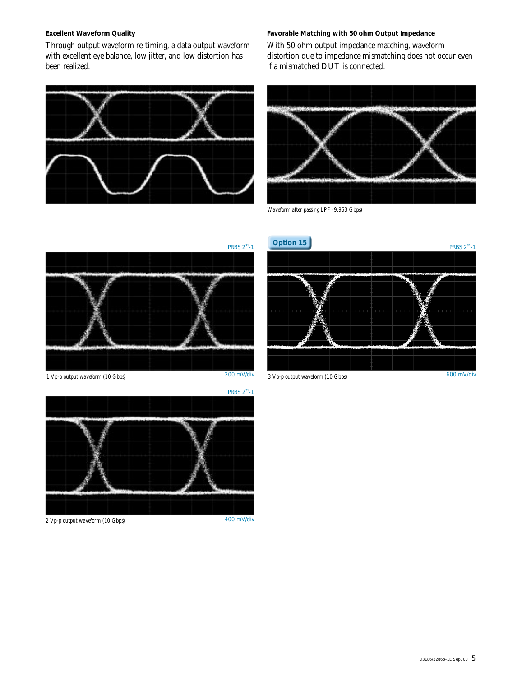# **Excellent Waveform Quality**

Through output waveform re-timing, a data output waveform with excellent eye balance, low jitter, and low distortion has been realized.

# **Favorable Matching with 50 ohm Output Impedance**

With 50 ohm output impedance matching, waveform distortion due to impedance mismatching does not occur even if a mismatched DUT is connected.





*Waveform after passing LPF (9.953 Gbps)*



*1 Vp-p output waveform (10 Gbps)*

200 mV/div



600 mV/div *3 Vp-p output waveform (10 Gbps)*



*2 Vp-p output waveform (10 Gbps)*

400 mV/div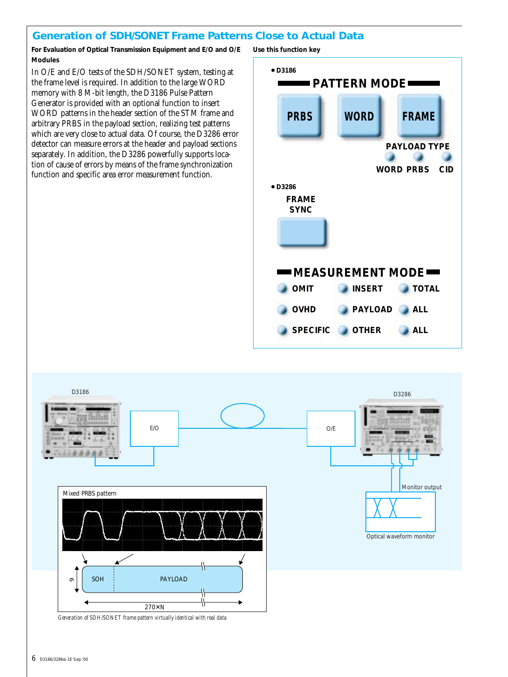# **Generation of SDH/SONET Frame Patterns Close to Actual Data**

**For Evaluation of Optical Transmission Equipment and E/O and O/E Modules**

In O/E and E/O tests of the SDH/SONET system, testing at the frame level is required. In addition to the large WORD memory with 8 M-bit length, the D3186 Pulse Pattern Generator is provided with an optional function to insert WORD patterns in the header section of the STM frame and arbitrary PRBS in the payload section, realizing test patterns which are very close to actual data. Of course, the D3286 error detector can measure errors at the header and payload sections separately. In addition, the D3286 powerfully supports location of cause of errors by means of the frame synchronization function and specific area error measurement function.

**Use this function key**





*Generation of SDH/SONET frame pattern virtually identical with real data*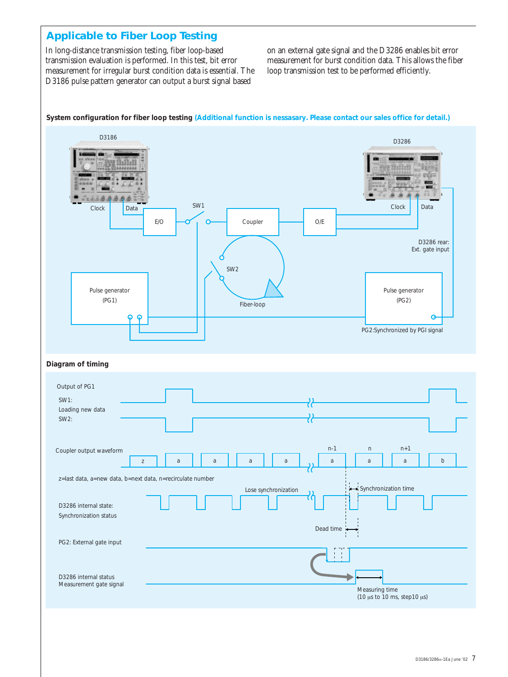# **Applicable to Fiber Loop Testing**

In long-distance transmission testing, fiber loop-based transmission evaluation is performed. In this test, bit error measurement for irregular burst condition data is essential. The D3186 pulse pattern generator can output a burst signal based

on an external gate signal and the D3286 enables bit error measurement for burst condition data. This allows the fiber loop transmission test to be performed efficiently.



**System configuration for fiber loop testing (Additional function is nessasary. Please contact our sales office for detail.)**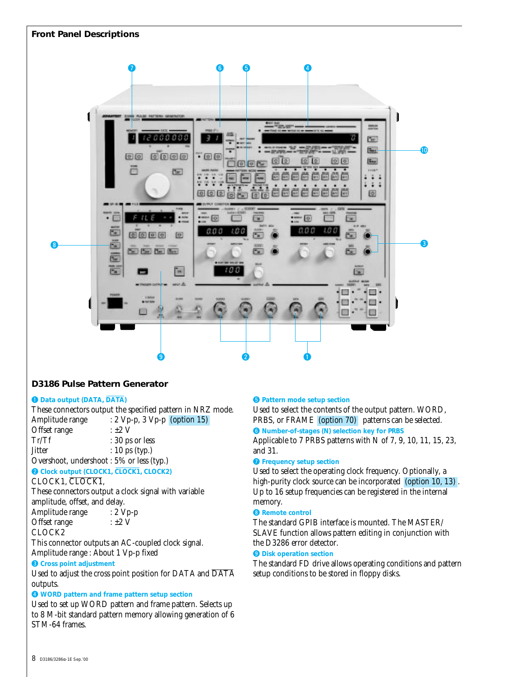

# **D3186 Pulse Pattern Generator**

# q **Data output (DATA, DATA)**

These connectors output the specified pattern in NRZ mode. Amplitude range : 2 Vp-p, 3 Vp-p (option 15) Offset range  $: \pm 2 \text{ V}$ 

Tr/Tf : 30 ps or less  $Jitter$  : 10 ps (typ.)

Overshoot, undershoot : 5% or less (typ.)

**@ Clock output (CLOCK1, CLOCK1, CLOCK2)** 

CLOCK1, CLOCK1,

These connectors output a clock signal with variable amplitude, offset, and delay.

Amplitude range : 2 Vp-p Offset range  $: \pm 2 \text{ V}$ 

CLOCK2

This connector outputs an AC-coupled clock signal.

Amplitude range : About 1 Vp-p fixed

# **e** Cross point adjustment

Used to adjust the cross point position for DATA and DATA outputs.

## $Q$  WORD pattern and frame pattern setup section

Used to set up WORD pattern and frame pattern. Selects up to 8 M-bit standard pattern memory allowing generation of 6 STM-64 frames.

# $\bullet$  **Pattern mode setup section**

Used to select the contents of the output pattern. WORD, PRBS, or FRAME (option 70) patterns can be selected. **6** Number-of-stages (N) selection key for PRBS

Applicable to 7 PRBS patterns with N of 7, 9, 10, 11, 15, 23, and 31.

# **O** Frequency setup section

Used to select the operating clock frequency. Optionally, a high-purity clock source can be incorporated (option 10, 13). Up to 16 setup frequencies can be registered in the internal memory.

## **8** Remote control

The standard GPIB interface is mounted. The MASTER/ SLAVE function allows pattern editing in conjunction with the D3286 error detector.

## **<sup>O</sup>** Disk operation section

The standard FD drive allows operating conditions and pattern setup conditions to be stored in floppy disks.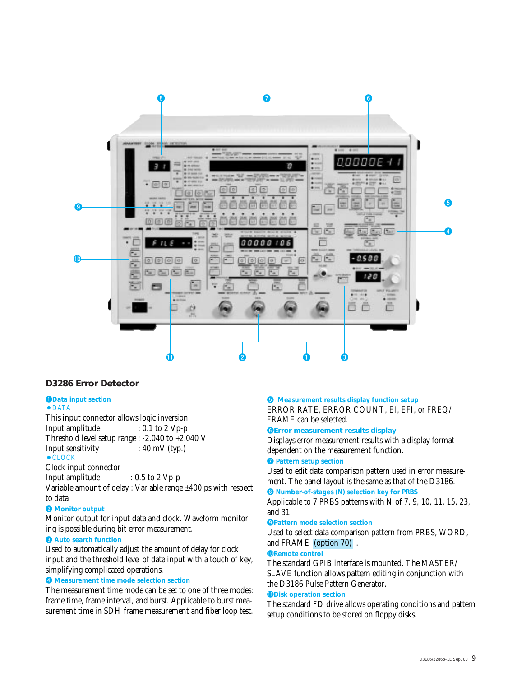

# **D3286 Error Detector**

#### **QData input section**  $\bullet$  DATA

This input connector allows logic inversion. Input amplitude : 0.1 to 2 Vp-p Threshold level setup range : -2.040 to +2.040 V Input sensitivity : 40 mV (typ.)  $\bullet$  CLOCK

Clock input connector

Input amplitude : 0.5 to 2 Vp-p

Variable amount of delay : Variable range ±400 ps with respect to data

# **@** Monitor output

Monitor output for input data and clock. Waveform monitoring is possible during bit error measurement.

# $\Theta$  Auto search function

Used to automatically adjust the amount of delay for clock input and the threshold level of data input with a touch of key, simplifying complicated operations.

# **4** Measurement time mode selection section

The measurement time mode can be set to one of three modes: frame time, frame interval, and burst. Applicable to burst measurement time in SDH frame measurement and fiber loop test.

# $\bullet$  Measurement results display function setup

ERROR RATE, ERROR COUNT, EI, EFI, or FREQ/ FRAME can be selected.

## **OError measurement results display**

Displays error measurement results with a display format dependent on the measurement function.

## **Q** Pattern setup section

Used to edit data comparison pattern used in error measurement. The panel layout is the same as that of the D3186.

# **8** Number-of-stages (N) selection key for PRBS

Applicable to 7 PRBS patterns with N of 7, 9, 10, 11, 15, 23, and 31.

#### o**Pattern mode selection section**

Used to select data comparison pattern from PRBS, WORD, and FRAME (option 70) .

## !0**Remote control**

The standard GPIB interface is mounted. The MASTER/ SLAVE function allows pattern editing in conjunction with the D3186 Pulse Pattern Generator.

#### *<u>ODisk operation section</u>*

The standard FD drive allows operating conditions and pattern setup conditions to be stored on floppy disks.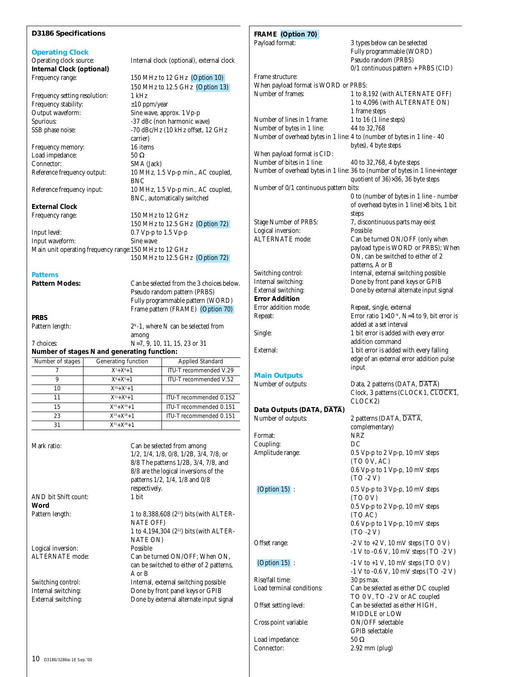| <b>D3186 Specifications</b>                            |                                        |                                                                                                     | FRAME (Option 70)                      |                                                                                          |
|--------------------------------------------------------|----------------------------------------|-----------------------------------------------------------------------------------------------------|----------------------------------------|------------------------------------------------------------------------------------------|
|                                                        |                                        |                                                                                                     | Payload format:                        | 3 types below can be selected                                                            |
| <b>Operating Clock</b>                                 |                                        |                                                                                                     |                                        | Fully programmable (WORD)<br>Pseudo random (PRBS)                                        |
| Operating clock source:<br>Internal Clock (optional)   |                                        | Internal clock (optional), external clock                                                           |                                        | 0/1 continuous pattern + PRBS (CID)                                                      |
| Frequency range:                                       |                                        | 150 MHz to 12 GHz (Option 10)                                                                       | Frame structure:                       |                                                                                          |
|                                                        |                                        | 150 MHz to 12.5 GHz (Option 13)                                                                     | When payload format is WORD or PRBS:   |                                                                                          |
| Frequency setting resolution:                          | 1 kHz                                  |                                                                                                     | Number of frames:                      | 1 to 8,192 (with ALTERNATE OFF)                                                          |
| Frequency stability:                                   | $\pm 10$ ppm/year                      |                                                                                                     |                                        | 1 to 4,096 (with ALTERNATE ON)                                                           |
| Output waveform:                                       |                                        | Sine wave, approx. 1 Vp-p                                                                           |                                        | 1 frame steps                                                                            |
| Spurious:                                              |                                        | -37 dBc (non harmonic wave)                                                                         | Number of lines in 1 frame:            | $1$ to $16$ ( $1$ line steps)                                                            |
| SSB phase noise:                                       |                                        | -70 dBc/Hz (10 kHz offset, 12 GHz                                                                   | Number of bytes in 1 line:             | 44 to 32,768<br>Number of overhead bytes in 1 line: 4 to (number of bytes in 1 line - 40 |
|                                                        | carrier)                               |                                                                                                     |                                        | bytes), 4 byte steps                                                                     |
| Frequency memory:<br>Load impedance:                   | 16 items<br>$50\ \Omega$               |                                                                                                     | When payload format is CID:            |                                                                                          |
| Connector:                                             | SMA (Jack)                             |                                                                                                     | Number of bites in 1 line:             | 40 to 32,768, 4 byte steps                                                               |
| Reference frequency output:                            |                                        | 10 MHz, 1.5 Vp-p min., AC coupled,                                                                  |                                        | Number of overhead bytes in 1 line: 36 to (number of bytes in 1 line÷integer             |
|                                                        | <b>BNC</b>                             |                                                                                                     |                                        | quotient of 36)×36, 36 byte steps                                                        |
| Reference frequency input:                             |                                        | 10 MHz, 1.5 Vp-p min., AC coupled,                                                                  | Number of 0/1 continuous pattern bits: |                                                                                          |
|                                                        |                                        | BNC, automatically switched                                                                         |                                        | 0 to (number of bytes in 1 line - number                                                 |
| <b>External Clock</b>                                  |                                        |                                                                                                     |                                        | of overhead bytes in 1 line)×8 bits, 1 bit                                               |
| Frequency range:                                       |                                        | 150 MHz to 12 GHz                                                                                   |                                        | steps                                                                                    |
|                                                        |                                        | 150 MHz to 12.5 GHz (Option 72)                                                                     | Stage Number of PRBS:                  | 7, discontinuous parts may exist                                                         |
| Input level:                                           |                                        | $0.7 Vp-p$ to 1.5 $Vp-p$                                                                            | Logical inversion:<br>ALTERNATE mode:  | Possible                                                                                 |
| Input waveform:                                        | Sine wave                              |                                                                                                     |                                        | Can be turned ON/OFF (only when<br>payload type is WORD or PRBS); When                   |
| Main unit operating frequency range: 150 MHz to 12 GHz |                                        |                                                                                                     |                                        | ON, can be switched to either of 2                                                       |
|                                                        |                                        | 150 MHz to 12.5 GHz (Option 72)                                                                     |                                        | patterns, A or B                                                                         |
| <b>Patterns</b>                                        |                                        |                                                                                                     | Switching control:                     | Internal, external switching possible                                                    |
| Pattern Modes:                                         |                                        | Can be selected from the 3 choices below.                                                           | Internal switching:                    | Done by front panel keys or GPIB                                                         |
|                                                        |                                        | Pseudo random pattern (PRBS)                                                                        | External switching:                    | Done by external alternate input signal                                                  |
|                                                        |                                        | Fully programmable pattern (WORD)                                                                   | <b>Error Addition</b>                  |                                                                                          |
|                                                        |                                        | Frame pattern (FRAME) (Option 70)                                                                   | Error addition mode:                   | Repeat, single, external                                                                 |
| <b>PRBS</b>                                            |                                        |                                                                                                     | Repeat:                                | Error ratio $1\times10^{-N}$ , N=4 to 9, bit error is                                    |
| Pattern length:                                        |                                        | $2N - 1$ , where N can be selected from                                                             |                                        | added at a set interval                                                                  |
|                                                        | among                                  |                                                                                                     | Single:                                | 1 bit error is added with every error                                                    |
| 7 choices:                                             |                                        | N=7, 9, 10, 11, 15, 23 or 31                                                                        | External:                              | addition command                                                                         |
| Number of stages N and generating function:            |                                        |                                                                                                     |                                        | 1 bit error is added with every falling<br>edge of an external error addition pulse      |
| Number of stages                                       | Generating function                    | Applied Standard<br>ITU-T recommended V.29                                                          |                                        | input                                                                                    |
| 7<br>$\overline{9}$                                    | $X^7 + X^6 + 1$<br>$X^{9} + X^{5} + 1$ | ITU-T recommended V.52                                                                              | <b>Main Outputs</b>                    |                                                                                          |
| 10                                                     | $X^{10} + X^7 + 1$                     |                                                                                                     | Number of outputs:                     | Data, 2 patterns (DATA, DATA)                                                            |
| 11                                                     | $X^{11} + X^9 + 1$                     | ITU-T recommended 0.152                                                                             |                                        | Clock, 3 patterns (CLOCK1, CLOCK1,                                                       |
| $\overline{15}$                                        | $X^{15} + X^{14} + 1$                  | ITU-T recommended 0.151                                                                             |                                        | CLOCK2)                                                                                  |
| 23                                                     | $X^{23} + X^{18} + 1$                  | ITU-T recommended 0.151                                                                             | Data Outputs (DATA, DATA)              |                                                                                          |
| 31                                                     | $X^{31} + X^{28} + 1$                  |                                                                                                     | Number of outputs:                     | 2 patterns (DATA, DATA,                                                                  |
|                                                        |                                        |                                                                                                     |                                        | complementary)                                                                           |
|                                                        |                                        |                                                                                                     | Format:<br>Coupling:                   | NRZ<br>DC                                                                                |
| Mark ratio:                                            |                                        | Can be selected from among                                                                          | Amplitude range:                       | 0.5 Vp-p to 2 Vp-p, 10 mV steps                                                          |
|                                                        |                                        | $1/2$ , $1/4$ , $1/8$ , $0/8$ , $1/2B$ , $3/4$ , $7/8$ , or<br>8/8 The patterns 1/2B, 3/4, 7/8, and |                                        | (TO 0 V, AC)                                                                             |
|                                                        |                                        | 8/8 are the logical inversions of the                                                               |                                        | 0.6 Vp-p to 1 Vp-p, 10 mV steps                                                          |
|                                                        |                                        | patterns 1/2, 1/4, 1/8 and 0/8                                                                      |                                        | $(TO - 2V)$                                                                              |
|                                                        | respectively.                          |                                                                                                     | (Option $15$ ):                        | 0.5 Vp-p to 3 Vp-p, 10 mV steps                                                          |
| AND bit Shift count:                                   | 1 bit                                  |                                                                                                     |                                        | (TO 0 V)                                                                                 |
| Word                                                   |                                        |                                                                                                     |                                        | 0.5 Vp-p to 2 Vp-p, 10 mV steps                                                          |
| Pattern length:                                        |                                        | 1 to 8,388,608 (2 <sup>23</sup> ) bits (with ALTER-                                                 |                                        | (TO AC)                                                                                  |
|                                                        | <b>NATE OFF)</b>                       |                                                                                                     |                                        | 0.6 Vp-p to 1 Vp-p, 10 mV steps                                                          |
|                                                        |                                        | 1 to 4,194,304 (2 <sup>22</sup> ) bits (with ALTER-                                                 |                                        | $(TO - 2V)$                                                                              |
|                                                        | NATE ON)                               |                                                                                                     | Offset range:                          | $-2$ V to $+2$ V, 10 mV steps (TO 0 V)                                                   |
| Logical inversion:                                     | Possible                               |                                                                                                     |                                        | $-1$ V to $-0.6$ V, 10 mV steps (TO $-2$ V)                                              |
| <b>ALTERNATE</b> mode:                                 |                                        | Can be turned ON/OFF; When ON,                                                                      | (Option $15$ ):                        | $-1$ V to $+1$ V, 10 mV steps (TO 0 V)                                                   |
|                                                        | A or B                                 | can be switched to either of 2 patterns,                                                            |                                        | $-1$ V to $-0.6$ V, 10 mV steps (TO $-2$ V)                                              |
| Switching control:                                     |                                        | Internal, external switching possible                                                               | Rise/fall time:                        | 30 ps max.                                                                               |
| Internal switching:                                    |                                        | Done by front panel keys or GPIB                                                                    | Load terminal conditions:              | Can be selected as either DC coupled                                                     |
| External switching:                                    |                                        | Done by external alternate input signal                                                             |                                        | TO 0 V, TO -2 V or AC coupled                                                            |
|                                                        |                                        |                                                                                                     | Offset setting level:                  | Can be selected as either HIGH,                                                          |
|                                                        |                                        |                                                                                                     |                                        | MIDDLE or LOW                                                                            |
|                                                        |                                        |                                                                                                     | Cross point variable:                  | ON/OFF selectable                                                                        |
|                                                        |                                        |                                                                                                     |                                        | GPIB selectable                                                                          |
|                                                        |                                        |                                                                                                     | Load impedance:<br>Connector:          | $50\ \Omega$                                                                             |
|                                                        |                                        |                                                                                                     |                                        | $2.92$ mm (plug)                                                                         |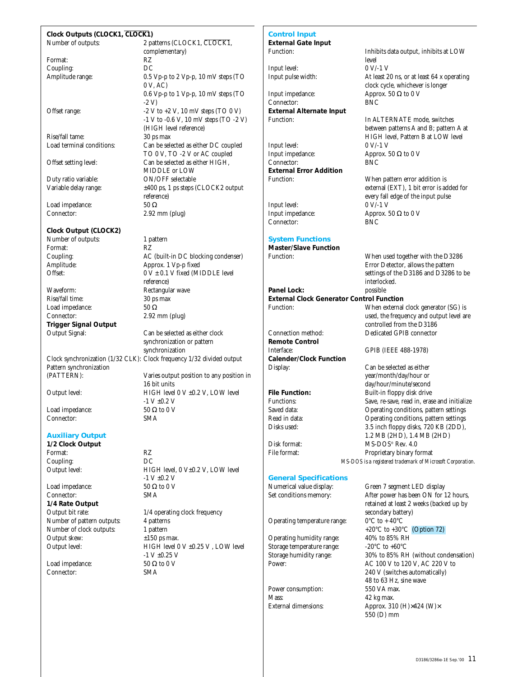#### **Clock Outputs (CLOCK1, CLOCK1)**

Format: RZ<br>Coupling: DC Coupling:<br>Amplitude range:

Rise/fall tame:<br>Load terminal conditions:

Duty ratio variable:

Load impedance:  $50 \Omega$ 

# **Clock Output (CLOCK2)**

Number of outputs: 1 pattern Format: RZ<br>Coupling: AC

Waveform: Rectangular wave<br>Rise/fall time: 30 ps max Load impedance:  $50 \Omega$ <br>Connector:  $2.92 \text{ m}$ **Trigger Signal Output** Output Signal: Can be selected as either clock

Clock synchronization (1/32 CLK): Clock frequency 1/32 divided output Pattern synchronization<br>(PATTERN):

Load impedance:  $50 \Omega$ <br>Connector:  $SMA$ Connector:

## **Auxiliary Output**

**1/2 Clock Output** Format: RZ<br>Counling: DC Coupling:

Load impedance:  $50 \Omega$ <br>Connector:  $SMA$ Connector: **1/4 Rate Output** Number of pattern outputs: 4 patterns<br>Number of clock outputs: 1 pattern Number of clock outputs:<br>Output skew:

Load impedance:  $50 \Omega$  to 0 V<br>Connector:  $SMA$ Connector:

Number of outputs: 2 patterns (CLOCK1, CLOCK1, complementary)  $0.5$  Vp-p to 2 Vp-p, 10 mV steps (TO 0 V, AC) 0.6 Vp-p to 1 Vp-p, 10 mV steps (TO -2 V) Offset range:  $-2 \text{ V}$  to  $+2 \text{ V}$ ,  $10 \text{ mV}$  steps (TO 0 V) -1 V to -0.6 V, 10 mV steps (TO -2 V) (HIGH level reference)<br>30 ps max Can be selected as either DC coupled TO 0 V, TO -2 V or AC coupled Offset setting level: Can be selected as either HIGH, MIDDLE or LOW<br>ON/OFF selectable Variable delay range:  $±400$  ps, 1 ps steps (CLOCK2 output reference) Connector: 2.92 mm (plug)

Coupling: <br>
AC (built-in DC blocking condenser)<br>
Approx. 1 Vp-p fixed Amplitude: Approx. 1 Vp-p fixed<br>Offset: 0 V  $\pm$  0.1 V fixed (MI  $0 V ± 0.1 V$  fixed (MIDDLE level reference) 30 ps max  $2.92$  mm (plug)

> synchronization or pattern synchronization

Varies output position to any position in

16 bit units Output level: HIGH level 0 V ±0.2 V, LOW level  $-1$  V  $\pm$ 0.2 V<br>50  $\Omega$  to 0 V

Output level: HIGH level, 0 V±0.2 V, LOW level  $-1$  V  $\pm 0.2$  V<br>50  $\Omega$  to 0 V Output bit rate:  $1/4$  operating clock frequency  $±150$  ps max. Output level: HIGH level 0 V ±0.25 V, LOW level  $-1$  V  $\pm$ 0.25 V

# **Control Input**

**External Gate Input**

Input level:<br>Input pulse width:

Input impedance:  $\triangle$  Approx. 50 Ω to 0 V Connector: BNC  $Comnetor$ **External Alternate Input** Function: In ALTERNATE mode, switches

Input level:<br>Input impedance: Connector: **External Error Addition**

Input level: 0 V/-1 V<br>Input impedance: 0 Approx. 5 Connector:

## **System Functions**

**Master/Slave Function**

**Panel Lock: External Clock Generator Control Function**  Function: When external clock generator (SG) is

Connection method: Dedicated GPIB connector **Remote Control** Interface: GPIB (IEEE 488-1978) **Calender/Clock Function**

#### **General Specifications**

Numerical value display: Green 7 segment LED display

Operating temperature range:  $0^{\circ}C$  to + 40 $^{\circ}C$ 

Operating humidity range:  $40\%$  to 85% RH<br>Storage temperature range:  $-20^{\circ}\text{C}$  to +60°C Storage temperature range:

Power consumption: Mass: 42 kg max.<br>External dimensions: 42 kg max.

Inhibits data output, inhibits at LOW level<br> $0 V/-1 V$ At least 20 ns, or at least  $64$  x operating clock cycle, whichever is longer

between patterns A and B; pattern A at HIGH level, Pattern B at LOW level<br>0 V/-1 V Approx. 50  $\Omega$  to 0 V<br>RNC

Function: When pattern error addition is external (EXT), 1 bit error is added for every fall edge of the input pulse Approx. 50  $\Omega$  to 0 V<br>BNC

> When used together with the D3286 Error Detector, allows the pattern settings of the D3186 and D3286 to be interlocked.

used, the frequency and output level are controlled from the D3186

Display: Can be selected as either year/month/day/hour or day/hour/minute/second **File Function:** Built-in floppy disk drive Functions: Save, re-save, read in, erase and initialize<br>Saved data: Operating conditions nattern settings Saved data: Operating conditions, pattern settings Read in data:  $\begin{array}{ccc} \text{Operating conditions, pattern settings} \\ \text{Disks used:} \end{array}$  $3.\overline{5}$  inch floppy disks, 720 KB (2DD). 1.2 MB (2HD), 1.4 MB (2HD) Disk format: MS-DOS® Rev. 4.0<br>File format: Proprietary binary fo Proprietary binary format *MS-DOS is a registered trademark of Microsoft Corporation.*

Set conditions memory: After power has been ON for 12 hours, retained at least 2 weeks (backed up by secondary battery) +20°C to +30°C (Option 72)<br>40% to 85% RH Storage humidity range: 30% to 85% RH (without condensation) Power: AC 100 V to 120 V, AC 220 V to 240 V (switches automatically) 48 to 63 Hz, sine wave Approx. 310 (H) $\times$ 424 (W) $\times$ 550 (D) mm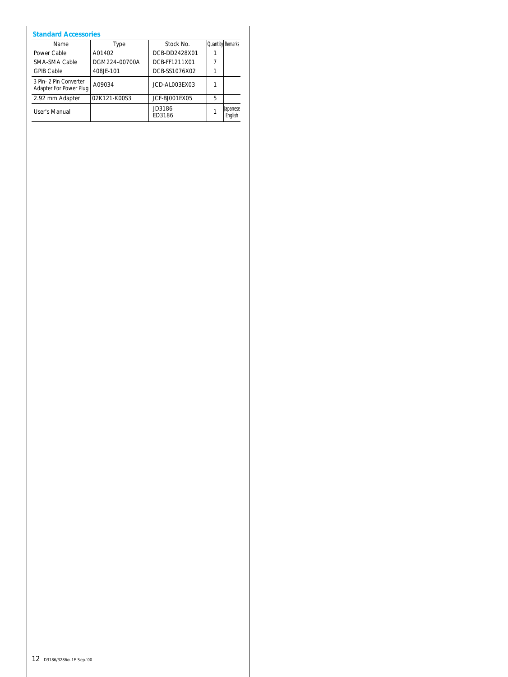| <b>Standard Accessories</b>                      |               |                  |                         |                            |
|--------------------------------------------------|---------------|------------------|-------------------------|----------------------------|
| Name                                             | Type          | Stock No.        | <b>Quantity</b> Remarks |                            |
| Power Cable                                      | A01402        | DCB-DD2428X01    |                         |                            |
| SMA-SMA Cable                                    | DGM224-00700A | DCB-FF1211X01    | 7                       |                            |
| <b>GPIB Cable</b>                                | 408JF-101     | DCB-SS1076X02    | 1                       |                            |
| 3 Pin- 2 Pin Converter<br>Adapter For Power Plug | A09034        | JCD-AL003FX03    |                         |                            |
| 2.92 mm Adapter                                  | 02K121-K00S3  | JCF-BJ001EX05    | 5                       |                            |
| User's Manual                                    |               | JD3186<br>FD3186 |                         | <b>Uapanese</b><br>Enalish |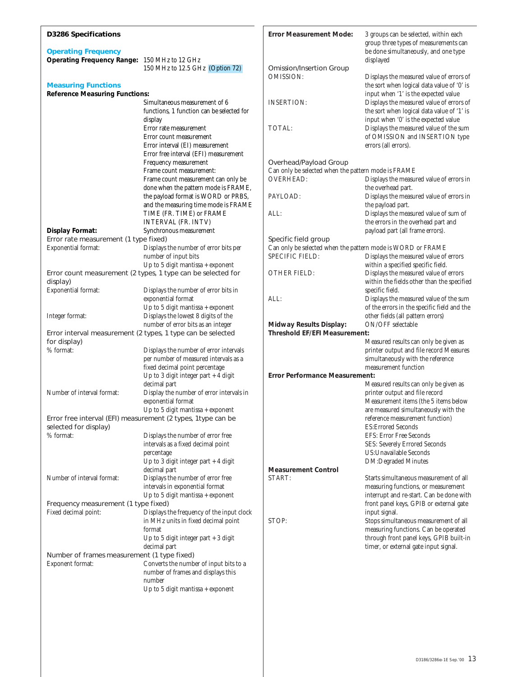| <b>D3286 Specifications</b>                                                |                                                                                                        | <b>Error Measurement Mode:</b>                              | 3 groups can be selected, within each<br>group three types of measurements can         |
|----------------------------------------------------------------------------|--------------------------------------------------------------------------------------------------------|-------------------------------------------------------------|----------------------------------------------------------------------------------------|
| <b>Operating Frequency</b><br>Operating Frequency Range: 150 MHz to 12 GHz |                                                                                                        |                                                             | be done simultaneously, and one type<br>displayed                                      |
|                                                                            | 150 MHz to 12.5 GHz (Option 72)                                                                        | <b>Omission/Insertion Group</b><br><b>OMISSION:</b>         | Displays the measured value of errors of                                               |
| <b>Measuring Functions</b>                                                 |                                                                                                        |                                                             | the sort when logical data value of '0' is                                             |
| <b>Reference Measuring Functions:</b>                                      | Simultaneous measurement of 6                                                                          | <b>INSERTION:</b>                                           | input when '1' is the expected value                                                   |
|                                                                            | functions, 1 function can be selected for                                                              |                                                             | Displays the measured value of errors of<br>the sort when logical data value of '1' is |
|                                                                            | display                                                                                                |                                                             | input when '0' is the expected value                                                   |
|                                                                            | Error rate measurement                                                                                 | TOTAL:                                                      | Displays the measured value of the sum                                                 |
|                                                                            | Error count measurement                                                                                |                                                             | of OMISSION and INSERTION type                                                         |
|                                                                            | Error interval (EI) measurement                                                                        |                                                             | errors (all errors).                                                                   |
|                                                                            | Error free interval (EFI) measurement<br>Frequency measurement                                         | Overhead/Payload Group                                      |                                                                                        |
|                                                                            | Frame count measurement:                                                                               | Can only be selected when the pattern mode is FRAME         |                                                                                        |
|                                                                            | Frame count measurement can only be                                                                    | <b>OVERHEAD:</b>                                            | Displays the measured value of errors in                                               |
|                                                                            | done when the pattern mode is FRAME,                                                                   |                                                             | the overhead part.                                                                     |
|                                                                            | the payload format is WORD or PRBS,                                                                    | PAYLOAD:                                                    | Displays the measured value of errors in                                               |
|                                                                            | and the measuring time mode is FRAME<br>TIME (FR. TIME) or FRAME                                       | ALL:                                                        | the payload part.<br>Displays the measured value of sum of                             |
|                                                                            | INTERVAL (FR. INTV)                                                                                    |                                                             | the errors in the overhead part and                                                    |
| <b>Display Format:</b>                                                     | Synchronous measurement                                                                                |                                                             | payload part (all frame errors).                                                       |
| Error rate measurement (1 type fixed)                                      |                                                                                                        | Specific field group                                        |                                                                                        |
| Exponential format:                                                        | Displays the number of error bits per                                                                  | Can only be selected when the pattern mode is WORD or FRAME |                                                                                        |
|                                                                            | number of input bits<br>Up to 5 digit mantissa + exponent                                              | SPECIFIC FIELD:                                             | Displays the measured value of errors<br>within a specified specific field.            |
|                                                                            | Error count measurement (2 types, 1 type can be selected for                                           | OTHER FIELD:                                                | Displays the measured value of errors                                                  |
| display)                                                                   |                                                                                                        |                                                             | within the fields other than the specified                                             |
| Exponential format:                                                        | Displays the number of error bits in                                                                   |                                                             | specific field.                                                                        |
|                                                                            | exponential format                                                                                     | ALL:                                                        | Displays the measured value of the sum                                                 |
|                                                                            | Up to 5 digit mantissa + exponent<br>Displays the lowest 8 digits of the                               |                                                             | of the errors in the specific field and the                                            |
| Integer format:                                                            | number of error bits as an integer                                                                     | <b>Midway Results Display:</b>                              | other fields (all pattern errors)<br>ON/OFF selectable                                 |
|                                                                            | Error interval measurement (2 types, 1 type can be selected                                            | <b>Threshold EF/EFI Measurement:</b>                        |                                                                                        |
| for display)                                                               |                                                                                                        |                                                             | Measured results can only be given as                                                  |
| % format:                                                                  | Displays the number of error intervals                                                                 |                                                             | printer output and file record Measures                                                |
|                                                                            | per number of measured intervals as a<br>fixed decimal point percentage                                |                                                             | simultaneously with the reference<br>measurement function                              |
|                                                                            | Up to 3 digit integer part $+4$ digit                                                                  | <b>Error Performance Measurement:</b>                       |                                                                                        |
|                                                                            | decimal part                                                                                           |                                                             | Measured results can only be given as                                                  |
| Number of interval format:                                                 | Display the number of error intervals in                                                               |                                                             | printer output and file record                                                         |
|                                                                            | exponential format                                                                                     |                                                             | Measurement items (the 5 items below                                                   |
|                                                                            | Up to 5 digit mantissa + exponent $\,$<br>Error free interval (EFI) measurement (2 types, 1type can be |                                                             | are measured simultaneously with the<br>reference measurement function)                |
| selected for display)                                                      |                                                                                                        |                                                             | <b>ES: Errored Seconds</b>                                                             |
| % format:                                                                  | Displays the number of error free                                                                      |                                                             | <b>EFS: Error Free Seconds</b>                                                         |
|                                                                            | intervals as a fixed decimal point                                                                     |                                                             | SES: Severely Errored Seconds                                                          |
|                                                                            | percentage                                                                                             |                                                             | US: Unavailable Seconds                                                                |
|                                                                            | Up to 3 digit integer part $+4$ digit<br>decimal part                                                  | <b>Measurement Control</b>                                  | <b>DM:Degraded Minutes</b>                                                             |
| Number of interval format:                                                 | Displays the number of error free                                                                      | START:                                                      | Starts simultaneous measurement of all                                                 |
|                                                                            | intervals in exponential format                                                                        |                                                             | measuring functions, or measurement                                                    |
|                                                                            | Up to 5 digit mantissa + exponent                                                                      |                                                             | interrupt and re-start. Can be done with                                               |
| Frequency measurement (1 type fixed)                                       |                                                                                                        |                                                             | front panel keys, GPIB or external gate                                                |
| Fixed decimal point:                                                       | Displays the frequency of the input clock<br>in MHz units in fixed decimal point                       | STOP:                                                       | input signal.<br>Stops simultaneous measurement of all                                 |
|                                                                            | format                                                                                                 |                                                             | measuring functions. Can be operated                                                   |
|                                                                            | Up to 5 digit integer part + 3 digit                                                                   |                                                             | through front panel keys, GPIB built-in                                                |
|                                                                            | decimal part                                                                                           |                                                             | timer, or external gate input signal.                                                  |
| Number of frames measurement (1 type fixed)<br>Exponent format:            | Converts the number of input bits to a                                                                 |                                                             |                                                                                        |
|                                                                            | number of frames and displays this                                                                     |                                                             |                                                                                        |
|                                                                            | number                                                                                                 |                                                             |                                                                                        |
|                                                                            | Up to 5 digit mantissa + exponent                                                                      |                                                             |                                                                                        |
|                                                                            |                                                                                                        |                                                             |                                                                                        |
|                                                                            |                                                                                                        |                                                             |                                                                                        |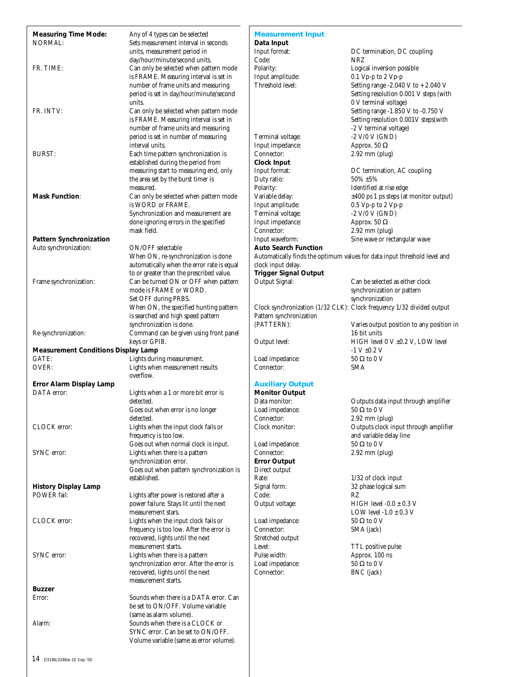| <b>Measuring Time Mode:</b>                | Any of 4 types can be selected             | <b>Measurement Input</b>     |                                                                           |
|--------------------------------------------|--------------------------------------------|------------------------------|---------------------------------------------------------------------------|
| <b>NORMAL:</b>                             | Sets measurement interval in seconds       | Data Input                   |                                                                           |
|                                            | units, measurement period in               | Input format:                | DC termination, DC coupling                                               |
|                                            | day/hour/minute/second units.              | Code:                        | <b>NRZ</b>                                                                |
| FR. TIME:                                  | Can only be selected when pattern mode     | Polarity:                    | Logical inversion possible                                                |
|                                            | is FRAME. Measuring interval is set in     | Input amplitude:             | $0.1 Vp-p$ to $2 Vp-p$                                                    |
|                                            | number of frame units and measuring        | Threshold level:             | Setting range -2.040 V to + 2.040 V                                       |
|                                            | period is set in day/hour/minute/second    |                              | Setting resolution 0.001 V steps (with                                    |
|                                            | units.                                     |                              | 0 V terminal voltage)                                                     |
| FR. INTV:                                  | Can only be selected when pattern mode     |                              | Setting range -1.850 V to -0.750 V                                        |
|                                            | is FRAME. Measuring interval is set in     |                              | Setting resolution 0.001V steps(with                                      |
|                                            | number of frame units and measuring        |                              | -2 V terminal voltage)                                                    |
|                                            | period is set in number of measuring       | Terminal voltage:            | $-2$ V/0 V (GND)                                                          |
|                                            | interval units.                            | Input impedance:             | Approx. 50 $\Omega$                                                       |
| <b>BURST:</b>                              | Each time pattern synchronization is       | Connector:                   | $2.92$ mm (plug)                                                          |
|                                            | established during the period from         | <b>Clock Input</b>           |                                                                           |
|                                            | measuring start to measuring end, only     | Input format:                | DC termination, AC coupling                                               |
|                                            | the area set by the burst timer is         | Duty ratio:                  | $50\% + 5\%$                                                              |
|                                            | measured.                                  | Polarity:                    | Identified at rise edge                                                   |
| <b>Mask Function:</b>                      | Can only be selected when pattern mode     | Variable delay:              | $\pm 400$ ps 1 ps steps (at monitor output)                               |
|                                            | is WORD or FRAME.                          | Input amplitude:             | $0.5 Vp-p$ to $2 Vp-p$                                                    |
|                                            | Synchronization and measurement are        | Terminal voltage:            | -2 V/0 V (GND)                                                            |
|                                            | done ignoring errors in the specified      | Input impedance:             | Approx. 50 $\Omega$                                                       |
|                                            | mask field.                                | Connector:                   | $2.92$ mm (plug)                                                          |
| <b>Pattern Synchronization</b>             |                                            | Input waveform:              | Sine wave or rectangular wave                                             |
| Auto synchronization:                      | ON/OFF selectable                          | <b>Auto Search Function</b>  |                                                                           |
|                                            | When ON, re-synchronization is done        |                              | Automatically finds the optimum values for data input threshold level and |
|                                            | automatically when the error rate is equal | clock input delay.           |                                                                           |
|                                            | to or greater than the prescribed value.   | <b>Trigger Signal Output</b> |                                                                           |
| Frame synchronization:                     | Can be turned ON or OFF when pattern       | Output Signal:               | Can be selected as either clock                                           |
|                                            | mode is FRAME or WORD.                     |                              | synchronization or pattern                                                |
|                                            | Set OFF during PRBS.                       |                              | synchronization                                                           |
|                                            | When ON, the specified hunting pattern     |                              | Clock synchronization (1/32 CLK): Clock frequency 1/32 divided output     |
|                                            | is searched and high speed pattern         | Pattern synchronization      |                                                                           |
|                                            | synchronization is done.                   | (PATTERN):                   | Varies output position to any position in                                 |
| Re-synchronization:                        | Command can be given using front panel     |                              | 16 bit units                                                              |
|                                            | keys or GPIB.                              | Output level:                | HIGH level 0 V ±0.2 V, LOW level                                          |
| <b>Measurement Conditions Display Lamp</b> |                                            |                              | $-1 V \pm 0.2 V$                                                          |
| GATE:                                      | Lights during measurement.                 | Load impedance:              | $50 \Omega$ to $0 V$                                                      |
| OVER:                                      | Lights when measurement results            | Connector:                   | <b>SMA</b>                                                                |
|                                            | overflow.                                  |                              |                                                                           |
| Error Alarm Display Lamp                   |                                            | <b>Auxiliary Output</b>      |                                                                           |
| DATA error:                                | Lights when a 1 or more bit error is       | <b>Monitor Output</b>        |                                                                           |
|                                            | detected.                                  | Data monitor:                | Outputs data input through amplifier                                      |
|                                            | Goes out when error is no longer           | Load impedance:              | $50\ \Omega$ to $0\ \mathrm{V}$                                           |
|                                            | detected.                                  | Connector:                   | $2.92$ mm (plug)                                                          |
| CLOCK error:                               | Lights when the input clock fails or       | Clock monitor:               | Outputs clock input through amplifier                                     |
|                                            | frequency is too low.                      |                              | and variable delay line                                                   |
|                                            | Goes out when normal clock is input.       | Load impedance:              | $50 \Omega$ to $0 V$                                                      |
| SYNC error:                                | Lights when there is a pattern             | Connector:                   | $2.92$ mm (plug)                                                          |
|                                            | synchronization error.                     | <b>Error Output</b>          |                                                                           |
|                                            | Goes out when pattern synchronization is   | Direct output                |                                                                           |
|                                            | established.                               | Rate:                        | $1/32$ of clock input                                                     |
| <b>History Display Lamp</b>                |                                            | Signal form:                 | 32 phase logical sum                                                      |
| POWER fail:                                | Lights after power is restored after a     | Code:                        | RZ                                                                        |
|                                            | power failure. Stays lit until the next    | Output voltage:              | HIGH level $-0.0 \pm 0.3$ V                                               |
|                                            | measurement stars.                         |                              | LOW level -1.0 $\pm$ 0.3 V                                                |
| CLOCK error:                               | Lights when the input clock fails or       | Load impedance:              | $50 \Omega$ to $0 V$                                                      |
|                                            | frequency is too low. After the error is   | Connector:                   | SMA (jack)                                                                |
|                                            | recovered, lights until the next           | Stretched output             |                                                                           |
|                                            | measurement starts.                        | Level:                       | TTL positive pulse                                                        |
| SYNC error:                                | Lights when there is a pattern             | Pulse width:                 | Approx. 100 ns                                                            |
|                                            | synchronization error. After the error is  | Load impedance:              | $50 \Omega$ to $0 V$                                                      |
|                                            | recovered, lights until the next           | Connector:                   | BNC (jack)                                                                |
|                                            | measurement starts.                        |                              |                                                                           |
| <b>Buzzer</b>                              |                                            |                              |                                                                           |
| Error:                                     | Sounds when there is a DATA error. Can     |                              |                                                                           |
|                                            | be set to ON/OFF. Volume variable          |                              |                                                                           |
|                                            | (same as alarm volume).                    |                              |                                                                           |
| Alarm:                                     | Sounds when there is a CLOCK or            |                              |                                                                           |
|                                            | SYNC error. Can be set to ON/OFF.          |                              |                                                                           |
|                                            | Volume variable (same as error volume).    |                              |                                                                           |
|                                            |                                            |                              |                                                                           |
|                                            |                                            |                              |                                                                           |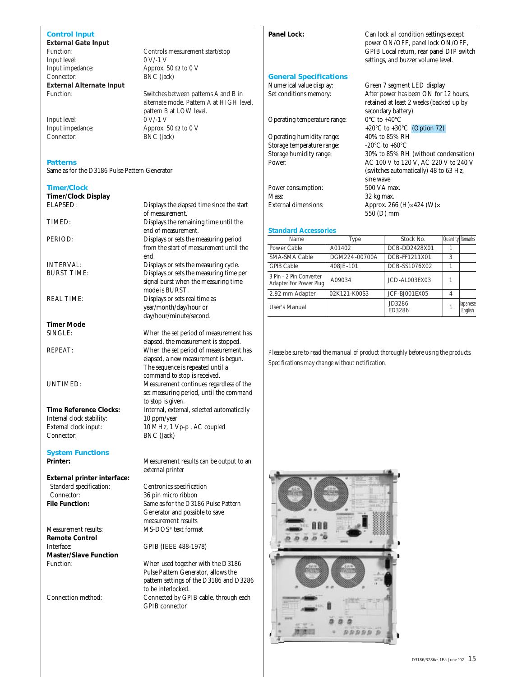## **Control Input**

**External Gate Input** Input level: 0 V/-1 V<br>Input impedance: Approx. Input impedance: Approx. 50 Ω to 0 V<br>Connector: BNC (jack) **External Alternate Input**

Input level:

#### **Patterns**

Same as for the D3186 Pulse Pattern Generator

#### **Timer/Clock**

**Timer/Clock Display**

**Timer Mode**

Internal clock stability:

**System Functions**

**External printer interface:** Standard specification: Centronics specification<br>
Connector: 36 nin micro ribbon Connector: 36 pin micro ribbon<br>
File Function: Same as for the D31

**Remote Control** Interface: GPIB (IEEE 488-1978) **Master/Slave Function**

Controls measurement start/stop BNC (jack)

Function: Switches between patterns A and B in alternate mode. Pattern A at HIGH level, pattern B at LOW level.<br>0 V/-1 V Input impedance: Approx. 50 Ω to 0 V<br>Connector: BNC (iack) BNC (jack)

ELAPSED: Displays the elapsed time since the start of measurement. TIMED: Displays the remaining time until the end of measurement. PERIOD: Displays or sets the measuring period from the start of measurement until the end. INTERVAL: Displays or sets the measuring cycle.<br>BURST TIME: Displays or sets the measuring time political contract the measuring time political contract of the measuring time political contract of the measuring time politi Displays or sets the measuring time per signal burst when the measuring time mode is BURST. REAL TIME: Displays or sets real time as year/month/day/hour or day/hour/minute/second.

When the set period of measurement has elapsed, the measurement is stopped. REPEAT: When the set period of measurement has elapsed, a new measurement is begun. The sequence is repeated until a command to stop is received. UNTIMED: Measurement continues regardless of the set measuring period, until the command to stop is given. **Time Reference Clocks:** Internal, external, selected automatically Internal clock stability: 10 ppm/year External clock input: 10 MHz, 1 Vp-p, AC coupled<br>
Connector: BNC (Jack) BNC (Jack)

**Printer:** Measurement results can be output to an external printer

Same as for the D3186 Pulse Pattern Generator and possible to save measurement results Measurement results: MS-DOS® text format

Function: When used together with the D3186 Pulse Pattern Generator, allows the pattern settings of the D3186 and D3286 to be interlocked. Connection method: Connected by GPIB cable, through each GPIB connector

## **Panel Lock:** Can lock all condition settings except

#### **General Specifications**

Operating temperature range:

Operating humidity range:  $40\%$  to 85% RH<br>Storage temperature range:  $-20\degree C$  to +60 $\degree C$ Storage temperature range:

Power consumption: Mass: 32 kg max. External dimensions: Approx. 266 (H)×424 (W)×

**Standard Accessories**

# Numerical value display: Green 7 segment LED display Set conditions memory: After power has been ON for 12 hours, retained at least 2 weeks (backed up by secondary battery)<br> $0^{\circ}$ C to  $+40^{\circ}$ C +20°C to +30°C (Option 72)<br>40% to 85% RH Storage humidity range:  $30\%$  to 85% RH (without condensation)<br>Power:  $AC 100$  V to 120 V. AC 220 V to 240 V AC 100 V to 120 V, AC 220 V to 240 V (switches automatically) 48 to 63 Hz, sine wave<br>500 VA max.

power ON/OFF, panel lock ON/OFF, GPIB Local return, rear panel DIP switch settings, and buzzer volume level.

550 (D) mm

| Name                                              | Type          | Stock No.        | <b>Ouantity Remarks</b> |                            |
|---------------------------------------------------|---------------|------------------|-------------------------|----------------------------|
| Power Cable                                       | A01402        | DCB-DD2428X01    |                         |                            |
| SMA-SMA Cable                                     | DGM224-00700A | DCB-FF1211X01    | 3                       |                            |
| <b>GPIB Cable</b>                                 | 408JE-101     | DCB-SS1076X02    |                         |                            |
| 3 Pin - 2 Pin Converter<br>Adapter For Power Plug | A09034        | JCD-AL003EX03    |                         |                            |
| 2.92 mm Adapter                                   | 02K121-K00S3  | JCF-BJ001EX05    | 4                       |                            |
| User's Manual                                     |               | JD3286<br>ED3286 |                         | <b>Japanese</b><br>Enalish |

*Please be sure to read the manual of product thoroughly before using the products. Specifications may change without notification.*